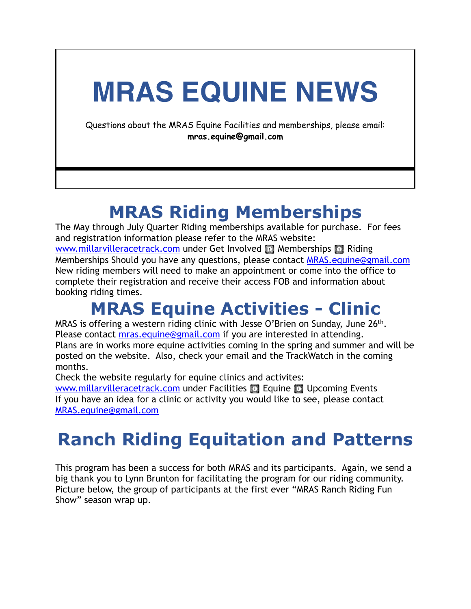# **MRAS EQUINE NEWS**

Questions about the MRAS Equine Facilities and memberships, please email: **mras.equine@gmail.com**

#### **MRAS Riding Memberships**

The May through July Quarter Riding memberships available for purchase. For fees and registration information please refer to the MRAS website: [www.millarvilleracetrack.com](http://www.millarvilleracetrack.com) under Get Involved **II** Memberships **II** Riding Memberships Should you have any questions, please contact [MRAS.equine@gmail.com](mailto:MRAS.equine@gmail.com) New riding members will need to make an appointment or come into the office to complete their registration and receive their access FOB and information about booking riding times.

### **MRAS Equine Activities - Clinic**

MRAS is offering a western riding clinic with Jesse O'Brien on Sunday, June 26<sup>th</sup>. Please contact [mras.equine@gmail.com](mailto:mras.equine@gmail.com) if you are interested in attending. Plans are in works more equine activities coming in the spring and summer and will be posted on the website. Also, check your email and the TrackWatch in the coming months.

Check the website regularly for equine clinics and activites:

[www.millarvilleracetrack.com](http://www.millarvilleracetrack.com) under Facilities **II** Equine **II** Upcoming Events If you have an idea for a clinic or activity you would like to see, please contact [MRAS.equine@gmail.com](mailto:MRAS.equine@gmail.com)

### **Ranch Riding Equitation and Patterns**

This program has been a success for both MRAS and its participants. Again, we send a big thank you to Lynn Brunton for facilitating the program for our riding community. Picture below, the group of participants at the first ever "MRAS Ranch Riding Fun Show" season wrap up.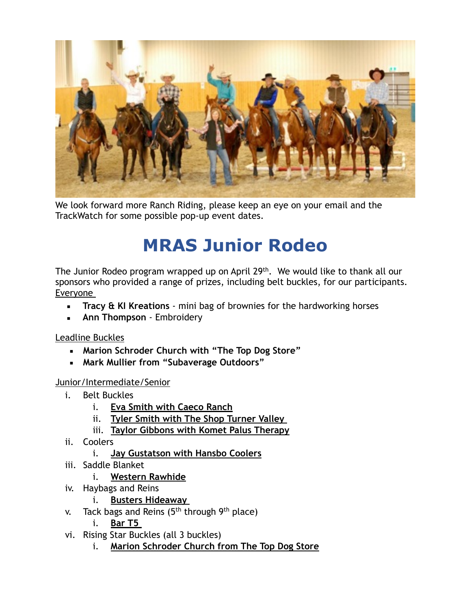

We look forward more Ranch Riding, please keep an eye on your email and the TrackWatch for some possible pop-up event dates.

## **MRAS Junior Rodeo**

The Junior Rodeo program wrapped up on April 29<sup>th</sup>. We would like to thank all our sponsors who provided a range of prizes, including belt buckles, for our participants. Everyone

- **Tracy & KI Kreations** mini bag of brownies for the hardworking horses
- **EXECT:** Ann Thompson Embroidery

Leadline Buckles

- **Marion Schroder Church with "The Top Dog Store"**
- **Mark Mullier from "Subaverage Outdoors"**

Junior/Intermediate/Senior

- i. Belt Buckles
	- i. **Eva Smith with Caeco Ranch**
	- ii. **Tyler Smith with The Shop Turner Valley**
	- iii. **Taylor Gibbons with Komet Palus Therapy**
- ii. Coolers
	- i. **Jay Gustatson with Hansbo Coolers**
- iii. Saddle Blanket
	- i. **Western Rawhide**
- iv. Haybags and Reins
	- i. **Busters Hideaway**
- v. Tack bags and Reins (5<sup>th</sup> through 9<sup>th</sup> place)
	- i. **Bar T5**
- vi. Rising Star Buckles (all 3 buckles)
	- i. **Marion Schroder Church from The Top Dog Store**